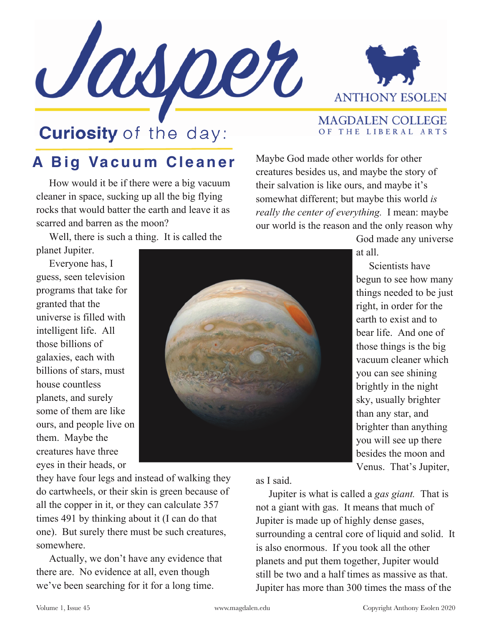



MAGDALEN COLLEGE OF THE LIBERAL ARTS

## **Curiosity** of the day:

## **A Big Vacuum Cleaner**

 How would it be if there were a big vacuum cleaner in space, sucking up all the big flying rocks that would batter the earth and leave it as scarred and barren as the moon?

 Well, there is such a thing. It is called the planet Jupiter.

 Everyone has, I guess, seen television programs that take for granted that the universe is filled with intelligent life. All those billions of galaxies, each with billions of stars, must house countless planets, and surely some of them are like ours, and people live on them. Maybe the creatures have three

eyes in their heads, or



their salvation is like ours, and maybe it's somewhat different; but maybe this world *is really the center of everything.* I mean: maybe our world is the reason and the only reason why God made any universe at all. Scientists have

Maybe God made other worlds for other creatures besides us, and maybe the story of

> begun to see how many things needed to be just right, in order for the earth to exist and to bear life. And one of those things is the big vacuum cleaner which you can see shining brightly in the night sky, usually brighter than any star, and brighter than anything you will see up there besides the moon and Venus. That's Jupiter,

they have four legs and instead of walking they do cartwheels, or their skin is green because of all the copper in it, or they can calculate 357 times 491 by thinking about it (I can do that one). But surely there must be such creatures, somewhere.

 Actually, we don't have any evidence that there are. No evidence at all, even though we've been searching for it for a long time.

as I said.

 Jupiter is what is called a *gas giant.* That is not a giant with gas. It means that much of Jupiter is made up of highly dense gases, surrounding a central core of liquid and solid. It is also enormous. If you took all the other planets and put them together, Jupiter would still be two and a half times as massive as that. Jupiter has more than 300 times the mass of the